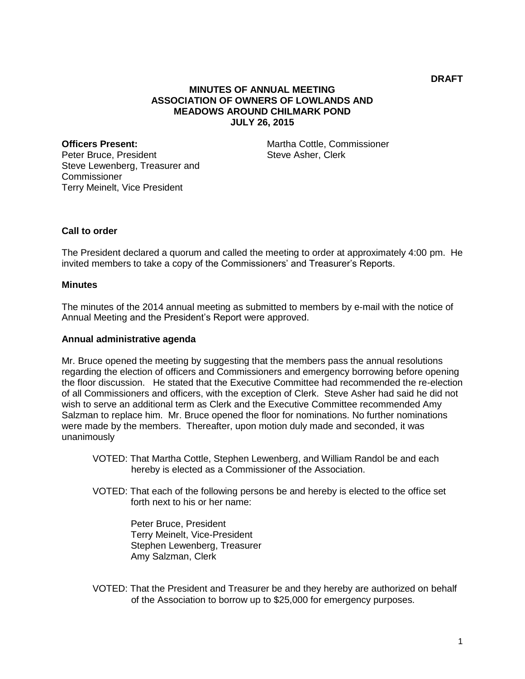# **MINUTES OF ANNUAL MEETING ASSOCIATION OF OWNERS OF LOWLANDS AND MEADOWS AROUND CHILMARK POND JULY 26, 2015**

**Officers Present:** Peter Bruce, President Steve Lewenberg, Treasurer and Commissioner Terry Meinelt, Vice President

Martha Cottle, Commissioner Steve Asher, Clerk

## **Call to order**

The President declared a quorum and called the meeting to order at approximately 4:00 pm. He invited members to take a copy of the Commissioners' and Treasurer's Reports.

#### **Minutes**

The minutes of the 2014 annual meeting as submitted to members by e-mail with the notice of Annual Meeting and the President's Report were approved.

#### **Annual administrative agenda**

Mr. Bruce opened the meeting by suggesting that the members pass the annual resolutions regarding the election of officers and Commissioners and emergency borrowing before opening the floor discussion. He stated that the Executive Committee had recommended the re-election of all Commissioners and officers, with the exception of Clerk. Steve Asher had said he did not wish to serve an additional term as Clerk and the Executive Committee recommended Amy Salzman to replace him. Mr. Bruce opened the floor for nominations. No further nominations were made by the members. Thereafter, upon motion duly made and seconded, it was unanimously

VOTED: That Martha Cottle, Stephen Lewenberg, and William Randol be and each hereby is elected as a Commissioner of the Association.

VOTED: That each of the following persons be and hereby is elected to the office set forth next to his or her name:

> Peter Bruce, President Terry Meinelt, Vice-President Stephen Lewenberg, Treasurer Amy Salzman, Clerk

VOTED: That the President and Treasurer be and they hereby are authorized on behalf of the Association to borrow up to \$25,000 for emergency purposes.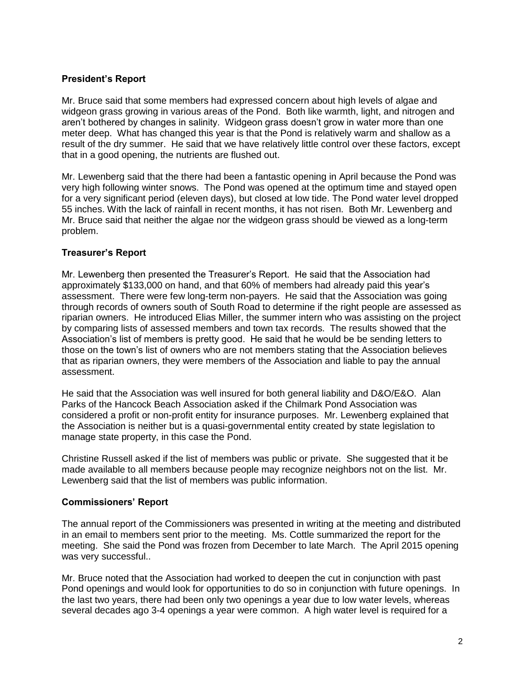# **President's Report**

Mr. Bruce said that some members had expressed concern about high levels of algae and widgeon grass growing in various areas of the Pond. Both like warmth, light, and nitrogen and aren't bothered by changes in salinity. Widgeon grass doesn't grow in water more than one meter deep. What has changed this year is that the Pond is relatively warm and shallow as a result of the dry summer. He said that we have relatively little control over these factors, except that in a good opening, the nutrients are flushed out.

Mr. Lewenberg said that the there had been a fantastic opening in April because the Pond was very high following winter snows. The Pond was opened at the optimum time and stayed open for a very significant period (eleven days), but closed at low tide. The Pond water level dropped 55 inches. With the lack of rainfall in recent months, it has not risen. Both Mr. Lewenberg and Mr. Bruce said that neither the algae nor the widgeon grass should be viewed as a long-term problem.

## **Treasurer's Report**

Mr. Lewenberg then presented the Treasurer's Report. He said that the Association had approximately \$133,000 on hand, and that 60% of members had already paid this year's assessment. There were few long-term non-payers. He said that the Association was going through records of owners south of South Road to determine if the right people are assessed as riparian owners. He introduced Elias Miller, the summer intern who was assisting on the project by comparing lists of assessed members and town tax records. The results showed that the Association's list of members is pretty good. He said that he would be be sending letters to those on the town's list of owners who are not members stating that the Association believes that as riparian owners, they were members of the Association and liable to pay the annual assessment.

He said that the Association was well insured for both general liability and D&O/E&O. Alan Parks of the Hancock Beach Association asked if the Chilmark Pond Association was considered a profit or non-profit entity for insurance purposes. Mr. Lewenberg explained that the Association is neither but is a quasi-governmental entity created by state legislation to manage state property, in this case the Pond.

Christine Russell asked if the list of members was public or private. She suggested that it be made available to all members because people may recognize neighbors not on the list. Mr. Lewenberg said that the list of members was public information.

### **Commissioners' Report**

The annual report of the Commissioners was presented in writing at the meeting and distributed in an email to members sent prior to the meeting. Ms. Cottle summarized the report for the meeting. She said the Pond was frozen from December to late March. The April 2015 opening was very successful..

Mr. Bruce noted that the Association had worked to deepen the cut in conjunction with past Pond openings and would look for opportunities to do so in conjunction with future openings. In the last two years, there had been only two openings a year due to low water levels, whereas several decades ago 3-4 openings a year were common. A high water level is required for a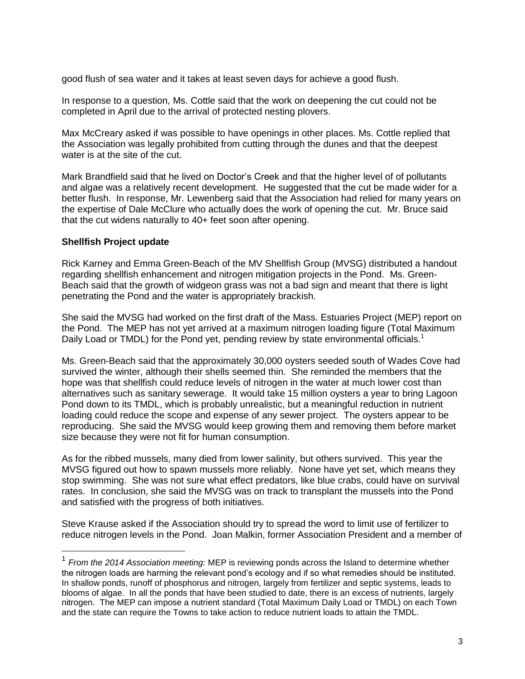good flush of sea water and it takes at least seven days for achieve a good flush.

In response to a question, Ms. Cottle said that the work on deepening the cut could not be completed in April due to the arrival of protected nesting plovers.

Max McCreary asked if was possible to have openings in other places. Ms. Cottle replied that the Association was legally prohibited from cutting through the dunes and that the deepest water is at the site of the cut.

Mark Brandfield said that he lived on Doctor's Creek and that the higher level of of pollutants and algae was a relatively recent development. He suggested that the cut be made wider for a better flush. In response, Mr. Lewenberg said that the Association had relied for many years on the expertise of Dale McClure who actually does the work of opening the cut. Mr. Bruce said that the cut widens naturally to 40+ feet soon after opening.

### **Shellfish Project update**

a<br>B

Rick Karney and Emma Green-Beach of the MV Shellfish Group (MVSG) distributed a handout regarding shellfish enhancement and nitrogen mitigation projects in the Pond. Ms. Green-Beach said that the growth of widgeon grass was not a bad sign and meant that there is light penetrating the Pond and the water is appropriately brackish.

She said the MVSG had worked on the first draft of the Mass. Estuaries Project (MEP) report on the Pond. The MEP has not yet arrived at a maximum nitrogen loading figure (Total Maximum Daily Load or TMDL) for the Pond yet, pending review by state environmental officials.<sup>1</sup>

Ms. Green-Beach said that the approximately 30,000 oysters seeded south of Wades Cove had survived the winter, although their shells seemed thin. She reminded the members that the hope was that shellfish could reduce levels of nitrogen in the water at much lower cost than alternatives such as sanitary sewerage. It would take 15 million oysters a year to bring Lagoon Pond down to its TMDL, which is probably unrealistic, but a meaningful reduction in nutrient loading could reduce the scope and expense of any sewer project. The oysters appear to be reproducing. She said the MVSG would keep growing them and removing them before market size because they were not fit for human consumption.

As for the ribbed mussels, many died from lower salinity, but others survived. This year the MVSG figured out how to spawn mussels more reliably. None have yet set, which means they stop swimming. She was not sure what effect predators, like blue crabs, could have on survival rates. In conclusion, she said the MVSG was on track to transplant the mussels into the Pond and satisfied with the progress of both initiatives.

Steve Krause asked if the Association should try to spread the word to limit use of fertilizer to reduce nitrogen levels in the Pond. Joan Malkin, former Association President and a member of

<sup>1</sup> *From the 2014 Association meeting:* MEP is reviewing ponds across the Island to determine whether the nitrogen loads are harming the relevant pond's ecology and if so what remedies should be instituted. In shallow ponds, runoff of phosphorus and nitrogen, largely from fertilizer and septic systems, leads to blooms of algae. In all the ponds that have been studied to date, there is an excess of nutrients, largely nitrogen. The MEP can impose a nutrient standard (Total Maximum Daily Load or TMDL) on each Town and the state can require the Towns to take action to reduce nutrient loads to attain the TMDL.